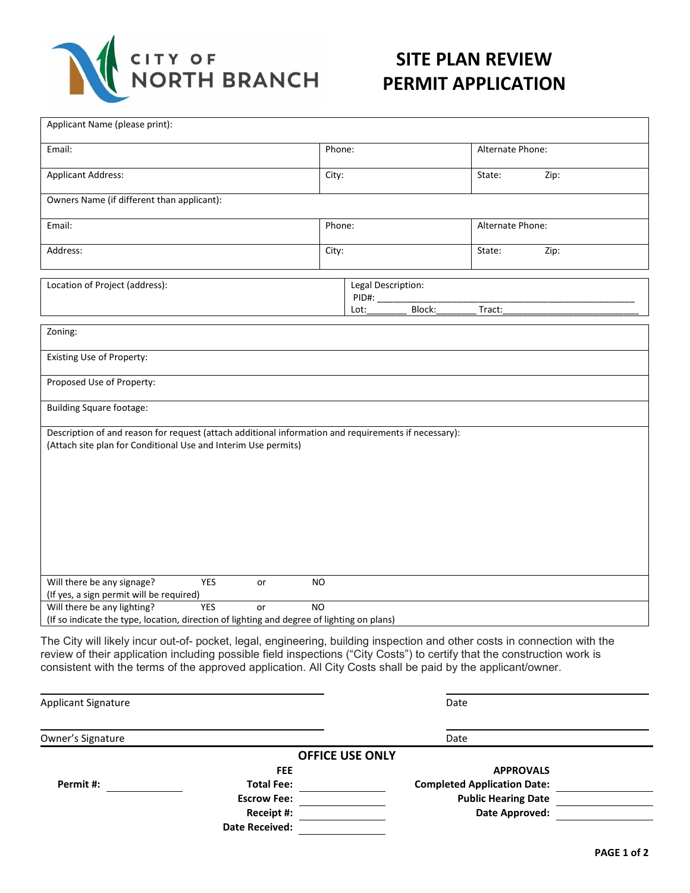

## **SITE PLAN REVIEW PERMIT APPLICATION**

| Applicant Name (please print):                                                                                                                                                                                                                                                                                                                                       |                                               |  |                  |      |  |
|----------------------------------------------------------------------------------------------------------------------------------------------------------------------------------------------------------------------------------------------------------------------------------------------------------------------------------------------------------------------|-----------------------------------------------|--|------------------|------|--|
| Email:                                                                                                                                                                                                                                                                                                                                                               | Phone:                                        |  | Alternate Phone: |      |  |
| <b>Applicant Address:</b>                                                                                                                                                                                                                                                                                                                                            | City:                                         |  | State:           | Zip: |  |
| Owners Name (if different than applicant):                                                                                                                                                                                                                                                                                                                           |                                               |  |                  |      |  |
| Email:                                                                                                                                                                                                                                                                                                                                                               | Phone:                                        |  | Alternate Phone: |      |  |
| Address:                                                                                                                                                                                                                                                                                                                                                             | City:                                         |  | State:           | Zip: |  |
| Location of Project (address):                                                                                                                                                                                                                                                                                                                                       | Legal Description:<br>PID#:<br>Block:<br>Lot: |  | Tract:           |      |  |
| Zoning:                                                                                                                                                                                                                                                                                                                                                              |                                               |  |                  |      |  |
| Existing Use of Property:                                                                                                                                                                                                                                                                                                                                            |                                               |  |                  |      |  |
| Proposed Use of Property:                                                                                                                                                                                                                                                                                                                                            |                                               |  |                  |      |  |
| <b>Building Square footage:</b>                                                                                                                                                                                                                                                                                                                                      |                                               |  |                  |      |  |
| Description of and reason for request (attach additional information and requirements if necessary):<br>(Attach site plan for Conditional Use and Interim Use permits)                                                                                                                                                                                               |                                               |  |                  |      |  |
| Will there be any signage?<br><b>YES</b><br>or<br>(If yes, a sign permit will be required)                                                                                                                                                                                                                                                                           | <b>NO</b>                                     |  |                  |      |  |
| Will there be any lighting?<br><b>YES</b><br>or<br>(If so indicate the type, location, direction of lighting and degree of lighting on plans)                                                                                                                                                                                                                        | N <sub>O</sub>                                |  |                  |      |  |
| The City will likely incur out-of- pocket, legal, engineering, building inspection and other costs in connection with the<br>review of their application including possible field inspections ("City Costs") to certify that the construction work is<br>consistent with the terms of the approved application. All City Costs shall be paid by the applicant/owner. |                                               |  |                  |      |  |

| <b>Applicant Signature</b> |                        | Date                               |  |  |
|----------------------------|------------------------|------------------------------------|--|--|
| Owner's Signature          |                        | Date                               |  |  |
|                            | <b>OFFICE USE ONLY</b> |                                    |  |  |
|                            | <b>FEE</b>             | <b>APPROVALS</b>                   |  |  |
| Permit #:                  | <b>Total Fee:</b>      | <b>Completed Application Date:</b> |  |  |
|                            | <b>Escrow Fee:</b>     | <b>Public Hearing Date</b>         |  |  |
|                            | Receipt #:             | Date Approved:                     |  |  |
|                            | <b>Date Received:</b>  |                                    |  |  |